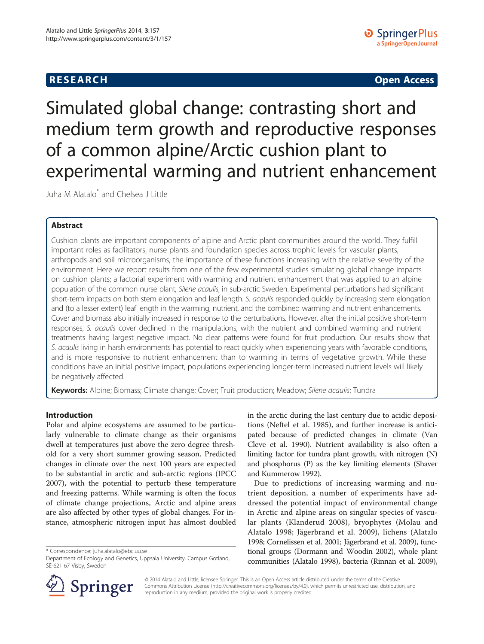# **RESEARCH CHINESE ARCH CHINESE ARCH CHINESE ARCH <b>CHINESE ARCH**

Simulated global change: contrasting short and medium term growth and reproductive responses of a common alpine/Arctic cushion plant to experimental warming and nutrient enhancement

Juha M Alatalo\* and Chelsea J Little

# Abstract

Cushion plants are important components of alpine and Arctic plant communities around the world. They fulfill important roles as facilitators, nurse plants and foundation species across trophic levels for vascular plants, arthropods and soil microorganisms, the importance of these functions increasing with the relative severity of the environment. Here we report results from one of the few experimental studies simulating global change impacts on cushion plants; a factorial experiment with warming and nutrient enhancement that was applied to an alpine population of the common nurse plant, Silene acaulis, in sub-arctic Sweden. Experimental perturbations had significant short-term impacts on both stem elongation and leaf length. S. acaulis responded quickly by increasing stem elongation and (to a lesser extent) leaf length in the warming, nutrient, and the combined warming and nutrient enhancements. Cover and biomass also initially increased in response to the perturbations. However, after the initial positive short-term responses, S. acaulis cover declined in the manipulations, with the nutrient and combined warming and nutrient treatments having largest negative impact. No clear patterns were found for fruit production. Our results show that S. acaulis living in harsh environments has potential to react quickly when experiencing years with favorable conditions, and is more responsive to nutrient enhancement than to warming in terms of vegetative growth. While these conditions have an initial positive impact, populations experiencing longer-term increased nutrient levels will likely be negatively affected.

Keywords: Alpine; Biomass; Climate change; Cover; Fruit production; Meadow; Silene acaulis; Tundra

# Introduction

Polar and alpine ecosystems are assumed to be particularly vulnerable to climate change as their organisms dwell at temperatures just above the zero degree threshold for a very short summer growing season. Predicted changes in climate over the next 100 years are expected to be substantial in arctic and sub-arctic regions (IPCC [2007](#page-9-0)), with the potential to perturb these temperature and freezing patterns. While warming is often the focus of climate change projections, Arctic and alpine areas are also affected by other types of global changes. For instance, atmospheric nitrogen input has almost doubled

\* Correspondence: [juha.alatalo@ebc.uu.se](mailto:juha.alatalo@ebc.uu.se)



Due to predictions of increasing warming and nutrient deposition, a number of experiments have addressed the potential impact of environmental change in Arctic and alpine areas on singular species of vascular plants (Klanderud [2008](#page-9-0)), bryophytes (Molau and Alatalo [1998](#page-9-0); Jägerbrand et al. [2009\)](#page-9-0), lichens (Alatalo [1998;](#page-8-0) Cornelissen et al. [2001;](#page-8-0) Jägerbrand et al. [2009\)](#page-9-0), functional groups (Dormann and Woodin [2002\)](#page-9-0), whole plant communities (Alatalo [1998](#page-8-0)), bacteria (Rinnan et al. [2009](#page-9-0)),



© 2014 Alatalo and Little; licensee Springer. This is an Open Access article distributed under the terms of the Creative Commons Attribution License (<http://creativecommons.org/licenses/by/4.0>), which permits unrestricted use, distribution, and reproduction in any medium, provided the original work is properly credited.

Department of Ecology and Genetics, Uppsala University, Campus Gotland, SE-621 67 Visby, Sweden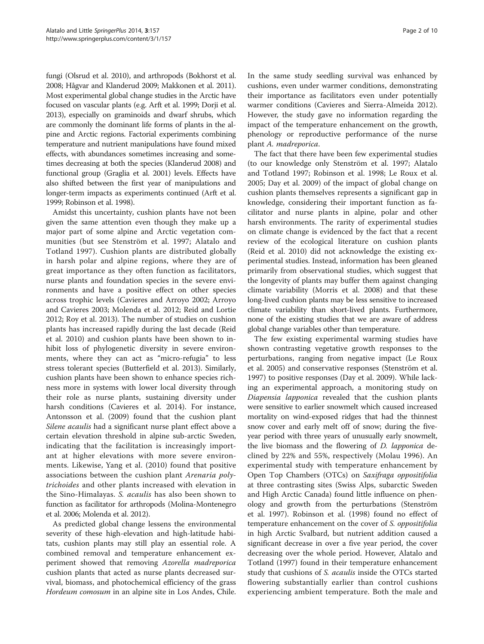fungi (Olsrud et al. [2010\)](#page-9-0), and arthropods (Bokhorst et al. [2008;](#page-8-0) Hågvar and Klanderud [2009;](#page-9-0) Makkonen et al. [2011](#page-9-0)). Most experimental global change studies in the Arctic have focused on vascular plants (e.g. Arft et al. [1999](#page-8-0); Dorji et al. [2013\)](#page-8-0), especially on graminoids and dwarf shrubs, which are commonly the dominant life forms of plants in the alpine and Arctic regions. Factorial experiments combining temperature and nutrient manipulations have found mixed effects, with abundances sometimes increasing and sometimes decreasing at both the species (Klanderud [2008\)](#page-9-0) and functional group (Graglia et al. [2001](#page-9-0)) levels. Effects have also shifted between the first year of manipulations and longer-term impacts as experiments continued (Arft et al. [1999;](#page-8-0) Robinson et al. [1998\)](#page-9-0).

Amidst this uncertainty, cushion plants have not been given the same attention even though they make up a major part of some alpine and Arctic vegetation communities (but see Stenström et al. [1997](#page-9-0); Alatalo and Totland [1997](#page-8-0)). Cushion plants are distributed globally in harsh polar and alpine regions, where they are of great importance as they often function as facilitators, nurse plants and foundation species in the severe environments and have a positive effect on other species across trophic levels (Cavieres and Arroyo [2002;](#page-8-0) Arroyo and Cavieres [2003](#page-8-0); Molenda et al. [2012;](#page-9-0) Reid and Lortie [2012](#page-9-0); Roy et al. [2013\)](#page-9-0). The number of studies on cushion plants has increased rapidly during the last decade (Reid et al. [2010\)](#page-9-0) and cushion plants have been shown to inhibit loss of phylogenetic diversity in severe environments, where they can act as "micro-refugia" to less stress tolerant species (Butterfield et al. [2013\)](#page-8-0). Similarly, cushion plants have been shown to enhance species richness more in systems with lower local diversity through their role as nurse plants, sustaining diversity under harsh conditions (Cavieres et al. [2014](#page-8-0)). For instance, Antonsson et al. [\(2009\)](#page-8-0) found that the cushion plant Silene acaulis had a significant nurse plant effect above a certain elevation threshold in alpine sub-arctic Sweden, indicating that the facilitation is increasingly important at higher elevations with more severe environments. Likewise, Yang et al. [\(2010\)](#page-9-0) found that positive associations between the cushion plant Arenaria polytrichoides and other plants increased with elevation in the Sino-Himalayas. S. acaulis has also been shown to function as facilitator for arthropods (Molina-Montenegro et al. [2006;](#page-9-0) Molenda et al. [2012\)](#page-9-0).

As predicted global change lessens the environmental severity of these high-elevation and high-latitude habitats, cushion plants may still play an essential role. A combined removal and temperature enhancement experiment showed that removing Azorella madreporica cushion plants that acted as nurse plants decreased survival, biomass, and photochemical efficiency of the grass Hordeum comosum in an alpine site in Los Andes, Chile.

In the same study seedling survival was enhanced by cushions, even under warmer conditions, demonstrating their importance as facilitators even under potentially warmer conditions (Cavieres and Sierra-Almeida [2012](#page-8-0)). However, the study gave no information regarding the impact of the temperature enhancement on the growth, phenology or reproductive performance of the nurse plant A. madreporica.

The fact that there have been few experimental studies (to our knowledge only Stenström et al. [1997;](#page-9-0) Alatalo and Totland [1997;](#page-8-0) Robinson et al. [1998;](#page-9-0) Le Roux et al. [2005](#page-9-0); Day et al. [2009\)](#page-8-0) of the impact of global change on cushion plants themselves represents a significant gap in knowledge, considering their important function as facilitator and nurse plants in alpine, polar and other harsh environments. The rarity of experimental studies on climate change is evidenced by the fact that a recent review of the ecological literature on cushion plants (Reid et al. [2010\)](#page-9-0) did not acknowledge the existing experimental studies. Instead, information has been gleaned primarily from observational studies, which suggest that the longevity of plants may buffer them against changing climate variability (Morris et al. [2008\)](#page-9-0) and that these long-lived cushion plants may be less sensitive to increased climate variability than short-lived plants. Furthermore, none of the existing studies that we are aware of address global change variables other than temperature.

The few existing experimental warming studies have shown contrasting vegetative growth responses to the perturbations, ranging from negative impact (Le Roux et al. [2005\)](#page-9-0) and conservative responses (Stenström et al. [1997](#page-9-0)) to positive responses (Day et al. [2009\)](#page-8-0). While lacking an experimental approach, a monitoring study on Diapensia lapponica revealed that the cushion plants were sensitive to earlier snowmelt which caused increased mortality on wind-exposed ridges that had the thinnest snow cover and early melt off of snow; during the fiveyear period with three years of unusually early snowmelt, the live biomass and the flowering of D. lapponica declined by 22% and 55%, respectively (Molau [1996\)](#page-9-0). An experimental study with temperature enhancement by Open Top Chambers (OTCs) on Saxifraga oppositifolia at three contrasting sites (Swiss Alps, subarctic Sweden and High Arctic Canada) found little influence on phenology and growth from the perturbations (Stenström et al. [1997](#page-9-0)). Robinson et al. ([1998](#page-9-0)) found no effect of temperature enhancement on the cover of S. oppositifolia in high Arctic Svalbard, but nutrient addition caused a significant decrease in over a five year period, the cover decreasing over the whole period. However, Alatalo and Totland ([1997](#page-8-0)) found in their temperature enhancement study that cushions of *S. acaulis* inside the OTCs started flowering substantially earlier than control cushions experiencing ambient temperature. Both the male and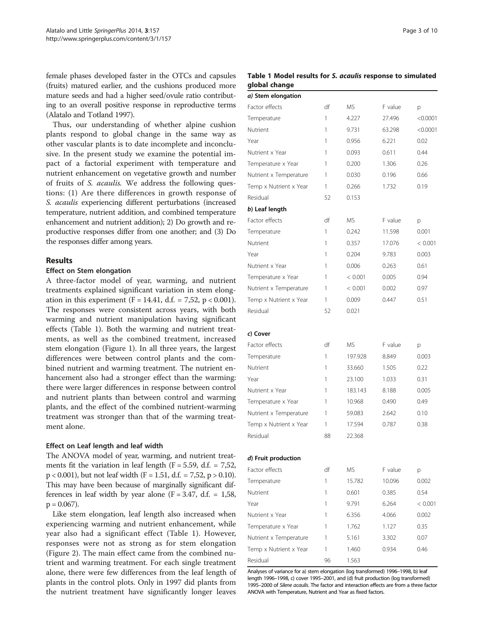<span id="page-2-0"></span>female phases developed faster in the OTCs and capsules (fruits) matured earlier, and the cushions produced more mature seeds and had a higher seed/ovule ratio contributing to an overall positive response in reproductive terms (Alatalo and Totland [1997\)](#page-8-0).

Thus, our understanding of whether alpine cushion plants respond to global change in the same way as other vascular plants is to date incomplete and inconclusive. In the present study we examine the potential impact of a factorial experiment with temperature and nutrient enhancement on vegetative growth and number of fruits of S. acaulis. We address the following questions: (1) Are there differences in growth response of S. acaulis experiencing different perturbations (increased temperature, nutrient addition, and combined temperature enhancement and nutrient addition); 2) Do growth and reproductive responses differ from one another; and (3) Do the responses differ among years.

### Results

### Effect on Stem elongation

A three-factor model of year, warming, and nutrient treatments explained significant variation in stem elongation in this experiment (F = 14.41, d.f. = 7,52, p < 0.001). The responses were consistent across years, with both warming and nutrient manipulation having significant effects (Table 1). Both the warming and nutrient treatments, as well as the combined treatment, increased stem elongation (Figure [1](#page-3-0)). In all three years, the largest differences were between control plants and the combined nutrient and warming treatment. The nutrient enhancement also had a stronger effect than the warming: there were larger differences in response between control and nutrient plants than between control and warming plants, and the effect of the combined nutrient-warming treatment was stronger than that of the warming treatment alone.

### Effect on Leaf length and leaf width

The ANOVA model of year, warming, and nutrient treatments fit the variation in leaf length ( $F = 5.59$ , d.f. = 7,52,  $p < 0.001$ ), but not leaf width (F = 1.51, d.f. = 7,52, p > 0.10). This may have been because of marginally significant differences in leaf width by year alone  $(F = 3.47, d.f. = 1.58,$  $p = 0.067$ ).

Like stem elongation, leaf length also increased when experiencing warming and nutrient enhancement, while year also had a significant effect (Table 1). However, responses were not as strong as for stem elongation (Figure [2](#page-3-0)). The main effect came from the combined nutrient and warming treatment. For each single treatment alone, there were few differences from the leaf length of plants in the control plots. Only in 1997 did plants from the nutrient treatment have significantly longer leaves

### Table 1 Model results for S. acaulis response to simulated global change

| a) Stem elongation     |    |         |         |          |
|------------------------|----|---------|---------|----------|
| Factor effects         | df | ΜS      | F value | р        |
| Temperature            | 1  | 4.227   | 27.496  | < 0.0001 |
| Nutrient               | 1  | 9.731   | 63.298  | < 0.0001 |
| Year                   | 1  | 0.956   | 6.221   | 0.02     |
| Nutrient x Year        | 1  | 0.093   | 0.611   | 0.44     |
| Temperature x Year     | 1  | 0.200   | 1.306   | 0.26     |
| Nutrient x Temperature | 1  | 0.030   | 0.196   | 0.66     |
| Temp x Nutrient x Year | 1  | 0.266   | 1.732   | 0.19     |
| Residual               | 52 | 0.153   |         |          |
| b) Leaf length         |    |         |         |          |
| Factor effects         | df | ΜS      | F value | р        |
| Temperature            | 1  | 0.242   | 11.598  | 0.001    |
| Nutrient               | 1  | 0.357   | 17.076  | < 0.001  |
| Year                   | 1  | 0.204   | 9.783   | 0.003    |
| Nutrient x Year        | 1  | 0.006   | 0.263   | 0.61     |
| Temperature x Year     | 1  | < 0.001 | 0.005   | 0.94     |
| Nutrient x Temperature | 1  | < 0.001 | 0.002   | 0.97     |
| Temp x Nutrient x Year | 1  | 0.009   | 0.447   | 0.51     |
| Residual               | 52 | 0.021   |         |          |
|                        |    |         |         |          |
| c) Cover               |    |         |         |          |
| Factor effects         | df | ΜS      | F value | р        |
| Temperature            | 1  | 197.928 | 8.849   | 0.003    |
| Nutrient               | 1  | 33.660  | 1.505   | 0.22     |
| Year                   | 1  | 23.100  | 1.033   | 0.31     |
| Nutrient x Year        | 1  | 183.143 | 8.188   | 0.005    |
| Temperature x Year     | 1  | 10.968  | 0.490   | 0.49     |
| Nutrient x Temperature | 1  | 59.083  | 2.642   | 0.10     |
| Temp x Nutrient x Year | 1  | 17.594  | 0.787   | 0.38     |
| Residual               | 88 | 22.368  |         |          |
|                        |    |         |         |          |
| d) Fruit production    |    |         |         |          |
| Factor effects         | df | ΜS      | F value | р        |
| Temperature            | 1  | 15.782  | 10.096  | 0.002    |
| Nutrient               | 1  | 0.601   | 0.385   | 0.54     |
| Year                   | 1  | 9.791   | 6.264   | < 0.001  |
| Nutrient x Year        | 1  | 6.356   | 4.066   | 0.002    |
|                        |    |         |         |          |
| Temperature x Year     | 1  | 1.762   | 1.127   | 0.35     |
| Nutrient x Temperature | 1  | 5.161   | 3.302   | 0.07     |
| Temp x Nutrient x Year | 1  | 1.460   | 0.934   | 0.46     |

Analyses of variance for a) stem elongation (log transformed) 1996–1998, b) leaf length 1996–1998, c) cover 1995–2001, and (d) fruit production (log transformed) <sup>1995</sup>–2000 of Silene acaulis. The factor and interaction effects are from a three factor ANOVA with Temperature, Nutrient and Year as fixed factors.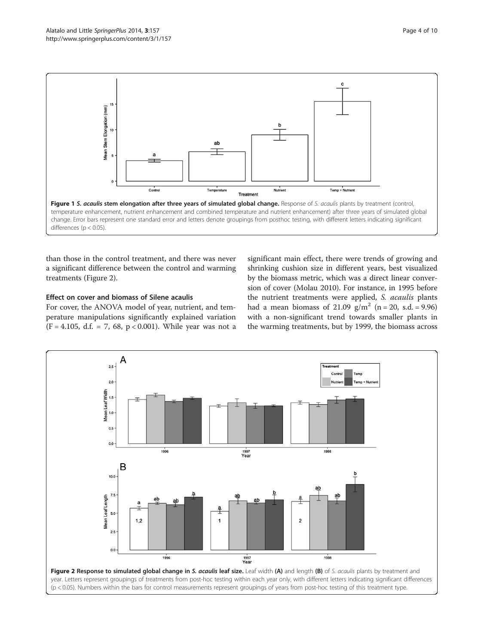<span id="page-3-0"></span>

than those in the control treatment, and there was never a significant difference between the control and warming treatments (Figure 2).

# Effect on cover and biomass of Silene acaulis

For cover, the ANOVA model of year, nutrient, and temperature manipulations significantly explained variation  $(F = 4.105, d.f. = 7, 68, p < 0.001)$ . While year was not a significant main effect, there were trends of growing and shrinking cushion size in different years, best visualized by the biomass metric, which was a direct linear conversion of cover (Molau [2010](#page-9-0)). For instance, in 1995 before the nutrient treatments were applied, S. acaulis plants had a mean biomass of 21.09  $g/m^2$  (n = 20, s.d. = 9.96) with a non-significant trend towards smaller plants in the warming treatments, but by 1999, the biomass across

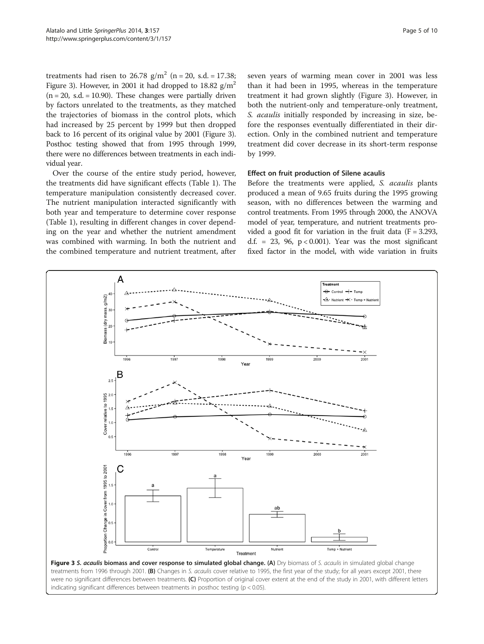treatments had risen to 26.78  $g/m^2$  (n = 20, s.d. = 17.38; Figure 3). However, in 2001 it had dropped to 18.82  $g/m^2$  $(n = 20, s.d. = 10.90)$ . These changes were partially driven by factors unrelated to the treatments, as they matched the trajectories of biomass in the control plots, which had increased by 25 percent by 1999 but then dropped back to 16 percent of its original value by 2001 (Figure 3). Posthoc testing showed that from 1995 through 1999, there were no differences between treatments in each individual year.

Over the course of the entire study period, however, the treatments did have significant effects (Table [1\)](#page-2-0). The temperature manipulation consistently decreased cover. The nutrient manipulation interacted significantly with both year and temperature to determine cover response (Table [1\)](#page-2-0), resulting in different changes in cover depending on the year and whether the nutrient amendment was combined with warming. In both the nutrient and the combined temperature and nutrient treatment, after

seven years of warming mean cover in 2001 was less than it had been in 1995, whereas in the temperature treatment it had grown slightly (Figure 3). However, in both the nutrient-only and temperature-only treatment, S. acaulis initially responded by increasing in size, before the responses eventually differentiated in their direction. Only in the combined nutrient and temperature treatment did cover decrease in its short-term response by 1999.

### Effect on fruit production of Silene acaulis

Before the treatments were applied, S. acaulis plants produced a mean of 9.65 fruits during the 1995 growing season, with no differences between the warming and control treatments. From 1995 through 2000, the ANOVA model of year, temperature, and nutrient treatments provided a good fit for variation in the fruit data  $(F = 3.293,$ d.f. = 23, 96,  $p < 0.001$ ). Year was the most significant fixed factor in the model, with wide variation in fruits



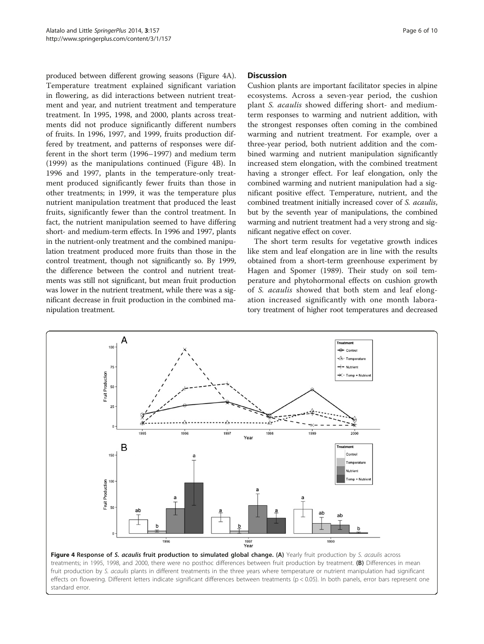produced between different growing seasons (Figure 4A). Temperature treatment explained significant variation in flowering, as did interactions between nutrient treatment and year, and nutrient treatment and temperature treatment. In 1995, 1998, and 2000, plants across treatments did not produce significantly different numbers of fruits. In 1996, 1997, and 1999, fruits production differed by treatment, and patterns of responses were different in the short term (1996–1997) and medium term (1999) as the manipulations continued (Figure 4B). In 1996 and 1997, plants in the temperature-only treatment produced significantly fewer fruits than those in other treatments; in 1999, it was the temperature plus nutrient manipulation treatment that produced the least fruits, significantly fewer than the control treatment. In fact, the nutrient manipulation seemed to have differing short- and medium-term effects. In 1996 and 1997, plants in the nutrient-only treatment and the combined manipulation treatment produced more fruits than those in the control treatment, though not significantly so. By 1999, the difference between the control and nutrient treatments was still not significant, but mean fruit production was lower in the nutrient treatment, while there was a significant decrease in fruit production in the combined manipulation treatment.

### Discussion

Cushion plants are important facilitator species in alpine ecosystems. Across a seven-year period, the cushion plant S. acaulis showed differing short- and mediumterm responses to warming and nutrient addition, with the strongest responses often coming in the combined warming and nutrient treatment. For example, over a three-year period, both nutrient addition and the combined warming and nutrient manipulation significantly increased stem elongation, with the combined treatment having a stronger effect. For leaf elongation, only the combined warming and nutrient manipulation had a significant positive effect. Temperature, nutrient, and the combined treatment initially increased cover of S. acaulis, but by the seventh year of manipulations, the combined warming and nutrient treatment had a very strong and significant negative effect on cover.

The short term results for vegetative growth indices like stem and leaf elongation are in line with the results obtained from a short-term greenhouse experiment by Hagen and Spomer ([1989](#page-9-0)). Their study on soil temperature and phytohormonal effects on cushion growth of S. acaulis showed that both stem and leaf elongation increased significantly with one month laboratory treatment of higher root temperatures and decreased



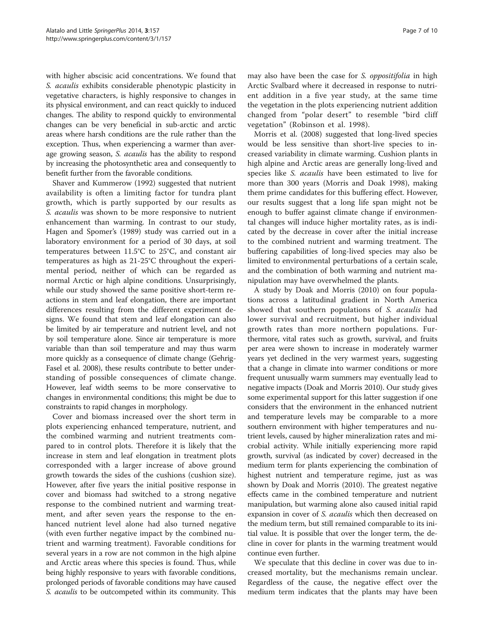with higher abscisic acid concentrations. We found that S. acaulis exhibits considerable phenotypic plasticity in vegetative characters, is highly responsive to changes in its physical environment, and can react quickly to induced changes. The ability to respond quickly to environmental changes can be very beneficial in sub-arctic and arctic areas where harsh conditions are the rule rather than the exception. Thus, when experiencing a warmer than average growing season, *S. acaulis* has the ability to respond by increasing the photosynthetic area and consequently to benefit further from the favorable conditions.

Shaver and Kummerow ([1992](#page-9-0)) suggested that nutrient availability is often a limiting factor for tundra plant growth, which is partly supported by our results as S. acaulis was shown to be more responsive to nutrient enhancement than warming. In contrast to our study, Hagen and Spomer's ([1989\)](#page-9-0) study was carried out in a laboratory environment for a period of 30 days, at soil temperatures between 11.5°C to 25°C, and constant air temperatures as high as 21-25°C throughout the experimental period, neither of which can be regarded as normal Arctic or high alpine conditions. Unsurprisingly, while our study showed the same positive short-term reactions in stem and leaf elongation, there are important differences resulting from the different experiment designs. We found that stem and leaf elongation can also be limited by air temperature and nutrient level, and not by soil temperature alone. Since air temperature is more variable than than soil temperature and may thus warm more quickly as a consequence of climate change (Gehrig-Fasel et al. [2008](#page-9-0)), these results contribute to better understanding of possible consequences of climate change. However, leaf width seems to be more conservative to changes in environmental conditions; this might be due to constraints to rapid changes in morphology.

Cover and biomass increased over the short term in plots experiencing enhanced temperature, nutrient, and the combined warming and nutrient treatments compared to in control plots. Therefore it is likely that the increase in stem and leaf elongation in treatment plots corresponded with a larger increase of above ground growth towards the sides of the cushions (cushion size). However, after five years the initial positive response in cover and biomass had switched to a strong negative response to the combined nutrient and warming treatment, and after seven years the response to the enhanced nutrient level alone had also turned negative (with even further negative impact by the combined nutrient and warming treatment). Favorable conditions for several years in a row are not common in the high alpine and Arctic areas where this species is found. Thus, while being highly responsive to years with favorable conditions, prolonged periods of favorable conditions may have caused S. acaulis to be outcompeted within its community. This

may also have been the case for S. *oppositifolia* in high Arctic Svalbard where it decreased in response to nutrient addition in a five year study, at the same time the vegetation in the plots experiencing nutrient addition changed from "polar desert" to resemble "bird cliff vegetation" (Robinson et al. [1998\)](#page-9-0).

Morris et al. ([2008](#page-9-0)) suggested that long-lived species would be less sensitive than short-live species to increased variability in climate warming. Cushion plants in high alpine and Arctic areas are generally long-lived and species like S. acaulis have been estimated to live for more than 300 years (Morris and Doak [1998\)](#page-9-0), making them prime candidates for this buffering effect. However, our results suggest that a long life span might not be enough to buffer against climate change if environmental changes will induce higher mortality rates, as is indicated by the decrease in cover after the initial increase to the combined nutrient and warming treatment. The buffering capabilities of long-lived species may also be limited to environmental perturbations of a certain scale, and the combination of both warming and nutrient manipulation may have overwhelmed the plants.

A study by Doak and Morris [\(2010\)](#page-8-0) on four populations across a latitudinal gradient in North America showed that southern populations of S. acaulis had lower survival and recruitment, but higher individual growth rates than more northern populations. Furthermore, vital rates such as growth, survival, and fruits per area were shown to increase in moderately warmer years yet declined in the very warmest years, suggesting that a change in climate into warmer conditions or more frequent unusually warm summers may eventually lead to negative impacts (Doak and Morris [2010\)](#page-8-0). Our study gives some experimental support for this latter suggestion if one considers that the environment in the enhanced nutrient and temperature levels may be comparable to a more southern environment with higher temperatures and nutrient levels, caused by higher mineralization rates and microbial activity. While initially experiencing more rapid growth, survival (as indicated by cover) decreased in the medium term for plants experiencing the combination of highest nutrient and temperature regime, just as was shown by Doak and Morris [\(2010](#page-8-0)). The greatest negative effects came in the combined temperature and nutrient manipulation, but warming alone also caused initial rapid expansion in cover of *S. acaulis* which then decreased on the medium term, but still remained comparable to its initial value. It is possible that over the longer term, the decline in cover for plants in the warming treatment would continue even further.

We speculate that this decline in cover was due to increased mortality, but the mechanisms remain unclear. Regardless of the cause, the negative effect over the medium term indicates that the plants may have been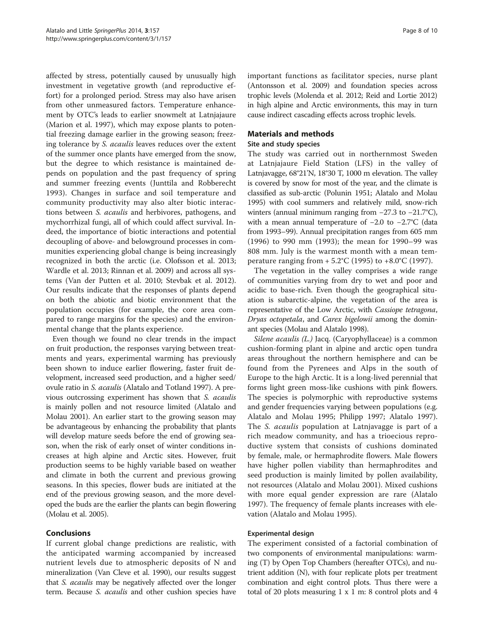affected by stress, potentially caused by unusually high investment in vegetative growth (and reproductive effort) for a prolonged period. Stress may also have arisen from other unmeasured factors. Temperature enhancement by OTC's leads to earlier snowmelt at Latnjajaure (Marion et al. [1997](#page-9-0)), which may expose plants to potential freezing damage earlier in the growing season; freezing tolerance by S. acaulis leaves reduces over the extent of the summer once plants have emerged from the snow, but the degree to which resistance is maintained depends on population and the past frequency of spring and summer freezing events (Junttila and Robberecht [1993\)](#page-9-0). Changes in surface and soil temperature and community productivity may also alter biotic interactions between S. acaulis and herbivores, pathogens, and mychorrhizal fungi, all of which could affect survival. Indeed, the importance of biotic interactions and potential decoupling of above- and belowground processes in communities experiencing global change is being increasingly recognized in both the arctic (i.e. Olofsson et al. [2013](#page-9-0); Wardle et al. [2013;](#page-9-0) Rinnan et al. [2009\)](#page-9-0) and across all systems (Van der Putten et al. [2010;](#page-9-0) Stevbak et al. [2012](#page-9-0)). Our results indicate that the responses of plants depend on both the abiotic and biotic environment that the population occupies (for example, the core area compared to range margins for the species) and the environmental change that the plants experience.

Even though we found no clear trends in the impact on fruit production, the responses varying between treatments and years, experimental warming has previously been shown to induce earlier flowering, faster fruit development, increased seed production, and a higher seed/ ovule ratio in S. acaulis (Alatalo and Totland [1997\)](#page-8-0). A previous outcrossing experiment has shown that S. acaulis is mainly pollen and not resource limited (Alatalo and Molau [2001\)](#page-8-0). An earlier start to the growing season may be advantageous by enhancing the probability that plants will develop mature seeds before the end of growing season, when the risk of early onset of winter conditions increases at high alpine and Arctic sites. However, fruit production seems to be highly variable based on weather and climate in both the current and previous growing seasons. In this species, flower buds are initiated at the end of the previous growing season, and the more developed the buds are the earlier the plants can begin flowering (Molau et al. [2005](#page-9-0)).

# Conclusions

If current global change predictions are realistic, with the anticipated warming accompanied by increased nutrient levels due to atmospheric deposits of N and mineralization (Van Cleve et al. [1990\)](#page-9-0), our results suggest that S. acaulis may be negatively affected over the longer term. Because S. acaulis and other cushion species have important functions as facilitator species, nurse plant (Antonsson et al. [2009\)](#page-8-0) and foundation species across trophic levels (Molenda et al. [2012;](#page-9-0) Reid and Lortie [2012](#page-9-0)) in high alpine and Arctic environments, this may in turn cause indirect cascading effects across trophic levels.

# Materials and methods

### Site and study species

The study was carried out in northernmost Sweden at Latnjajaure Field Station (LFS) in the valley of Latnjavagge, 68°21'N, 18°30 T, 1000 m elevation. The valley is covered by snow for most of the year, and the climate is classified as sub-arctic (Polunin [1951;](#page-9-0) Alatalo and Molau [1995\)](#page-8-0) with cool summers and relatively mild, snow-rich winters (annual minimum ranging from −27.3 to −21.7°C), with a mean annual temperature of −2.0 to −2.7°C (data from 1993–99). Annual precipitation ranges from 605 mm (1996) to 990 mm (1993); the mean for 1990–99 was 808 mm. July is the warmest month with a mean temperature ranging from  $+ 5.2^{\circ}$ C (1995) to  $+8.0^{\circ}$ C (1997).

The vegetation in the valley comprises a wide range of communities varying from dry to wet and poor and acidic to base-rich. Even though the geographical situation is subarctic-alpine, the vegetation of the area is representative of the Low Arctic, with Cassiope tetragona, Dryas octopetala, and Carex bigelowii among the dominant species (Molau and Alatalo [1998\)](#page-9-0).

Silene acaulis (L.) Jacq. (Caryophyllaceae) is a common cushion-forming plant in alpine and arctic open tundra areas throughout the northern hemisphere and can be found from the Pyrenees and Alps in the south of Europe to the high Arctic. It is a long-lived perennial that forms light green moss-like cushions with pink flowers. The species is polymorphic with reproductive systems and gender frequencies varying between populations (e.g. Alatalo and Molau [1995;](#page-8-0) Philipp [1997;](#page-9-0) Alatalo [1997](#page-8-0)). The S. acaulis population at Latnjavagge is part of a rich meadow community, and has a trioecious reproductive system that consists of cushions dominated by female, male, or hermaphrodite flowers. Male flowers have higher pollen viability than hermaphrodites and seed production is mainly limited by pollen availability, not resources (Alatalo and Molau [2001\)](#page-8-0). Mixed cushions with more equal gender expression are rare (Alatalo [1997](#page-8-0)). The frequency of female plants increases with elevation (Alatalo and Molau [1995\)](#page-8-0).

### Experimental design

The experiment consisted of a factorial combination of two components of environmental manipulations: warming (T) by Open Top Chambers (hereafter OTCs), and nutrient addition (N), with four replicate plots per treatment combination and eight control plots. Thus there were a total of 20 plots measuring 1 x 1 m: 8 control plots and 4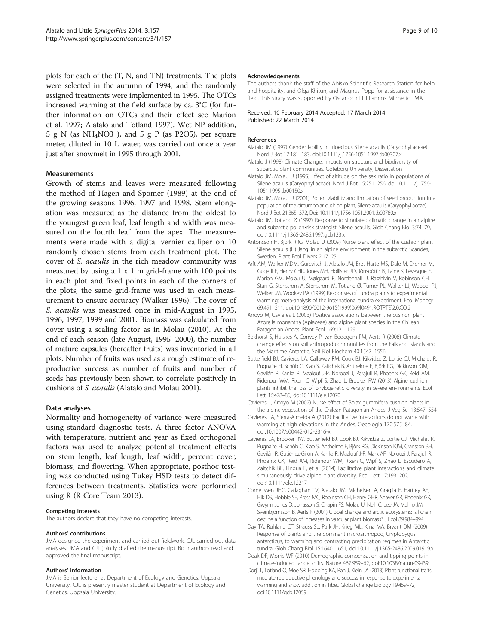<span id="page-8-0"></span>plots for each of the (T, N, and TN) treatments. The plots were selected in the autumn of 1994, and the randomly assigned treatments were implemented in 1995. The OTCs increased warming at the field surface by ca. 3°C (for further information on OTCs and their effect see Marion et al. [1997](#page-9-0); Alatalo and Totland 1997). Wet NP addition, 5 g N (as  $NH_4NO3$ ), and 5 g P (as P2O5), per square meter, diluted in 10 L water, was carried out once a year just after snowmelt in 1995 through 2001.

### **Measurements**

Growth of stems and leaves were measured following the method of Hagen and Spomer ([1989](#page-9-0)) at the end of the growing seasons 1996, 1997 and 1998. Stem elongation was measured as the distance from the oldest to the youngest green leaf, leaf length and width was measured on the fourth leaf from the apex. The measurements were made with a digital vernier calliper on 10 randomly chosen stems from each treatment plot. The cover of S. acaulis in the rich meadow community was measured by using a  $1 \times 1$  m grid-frame with 100 points in each plot and fixed points in each of the corners of the plots; the same grid-frame was used in each measurement to ensure accuracy (Walker [1996\)](#page-9-0). The cover of S. acaulis was measured once in mid-August in 1995, 1996, 1997, 1999 and 2001. Biomass was calculated from cover using a scaling factor as in Molau ([2010](#page-9-0)). At the end of each season (late August, 1995–2000), the number of mature capsules (hereafter fruits) was inventoried in all plots. Number of fruits was used as a rough estimate of reproductive success as number of fruits and number of seeds has previously been shown to correlate positively in cushions of S. acaulis (Alatalo and Molau 2001).

### Data analyses

Normality and homogeneity of variance were measured using standard diagnostic tests. A three factor ANOVA with temperature, nutrient and year as fixed orthogonal factors was used to analyze potential treatment effects on stem length, leaf length, leaf width, percent cover, biomass, and flowering. When appropriate, posthoc testing was conducted using Tukey HSD tests to detect differences between treatments. Statistics were performed using R (R Core Team [2013\)](#page-9-0).

### Competing interests

The authors declare that they have no competing interests.

### Authors' contributions

JMA designed the experiment and carried out fieldwork. CJL carried out data analyses. JMA and CJL jointly drafted the manuscript. Both authors read and approved the final manuscript.

### Authors' information

JMA is Senior lecturer at Department of Ecology and Genetics, Uppsala University. CJL is presently master student at Department of Ecology and Genetics, Uppsala University.

#### Acknowledgements

The authors thank the staff of the Abisko Scientific Research Station for help and hospitality, and Olga Khitun, and Magnus Popp for assistance in the field. This study was supported by Oscar och LiIli Lamms Minne to JMA.

#### Received: 10 February 2014 Accepted: 17 March 2014 Published: 22 March 2014

#### References

- Alatalo JM (1997) Gender lability in trioecious Silene acaulis (Caryophyllaceae). Nord J Bot 17:181–183, doi:10.1111/j.1756-1051.1997.tb00307.x
- Alatalo J (1998) Climate Change: Impacts on structure and biodiversity of subarctic plant communities. Göteborg University, Dissertation
- Alatalo JM, Molau U (1995) Effect of altitude on the sex ratio in populations of Silene acaulis (Caryophyllaceae). Nord J Bot 15:251–256, doi:10.1111/j.1756- 1051.1995.tb00150.x
- Alatalo JM, Molau U (2001) Pollen viability and limitation of seed production in a population of the circumpolar cushion plant, Silene acaulis (Caryophyllaceae). Nord J Bot 21:365–372, Doi: 10.1111/j.1756-1051.2001.tb00780.x
- Alatalo JM, Totland Ø (1997) Response to simulated climatic change in an alpine and subarctic pollen‐risk strategist, Silene acaulis. Glob Chang Biol 3:74–79, doi:10.1111/j.1365-2486.1997.gcb133.x
- Antonsson H, Björk RRG, Molau U (2009) Nurse plant effect of the cushion plant Silene acaulis (L.) Jacq. in an alpine environment in the subarctic Scandes, Sweden. Plant Ecol Divers 2:17–25
- Arft AM, Walker MDM, Gurevitch J, Alatalo JM, Bret-Harte MS, Dale M, Diemer M, Gugerli F, Henry GHR, Jones MH, Hollister RD, Jónsdóttir IS, Laine K, Lévesque E, Marion GM, Molau U, Mølgaard P, Nordenhäll U, Raszhivin V, Robinson CH, Starr G, Stenström A, Stenström M, Totland Ø, Turner PL, Walker LJ, Webber PJ, Welker JM, Wookey PA (1999) Responses of tundra plants to experimental warming: meta-analysis of the international tundra experiment. Ecol Monogr 69:491–511, doi:10.1890/0012-9615(1999)069[0491:ROTPTE]2.0.CO;2
- Arroyo M, Cavieres L (2003) Positive associations between the cushion plant Azorella monantha (Apiaceae) and alpine plant species in the Chilean Patagonian Andes. Plant Ecol 169:121–129
- Bokhorst S, Huiskes A, Convey P, van Bodegom PM, Aerts R (2008) Climate change effects on soil arthropod communities from the Falkland Islands and the Maritime Antarctic. Soil Biol Biochem 40:1547–1556
- Butterfield BJ, Cavieres LA, Callaway RM, Cook BJ, Kikvidze Z, Lortie CJ, Michalet R, Pugnaire FI, Schöb C, Xiao S, Zaitchek B, Anthelme F, Björk RG, Dickinson KJM, Gavilán R, Kanka R, Maalouf J-P, Noroozi J, Parajuli R, Phoenix GK, Reid AM, Ridenour WM, Rixen C, Wipf S, Zhao L, Brooker RW (2013) Alpine cushion plants inhibit the loss of phylogenetic diversity in severe environments. Ecol Lett 16:478–86, doi:10.1111/ele.12070
- Cavieres L, Arroyo M (2002) Nurse effect of Bolax gummifera cushion plants in the alpine vegetation of the Chilean Patagonian Andes. J Veg Sci 13:547–554
- Cavieres LA, Sierra-Almeida A (2012) Facilitative interactions do not wane with warming at high elevations in the Andes. Oecologia 170:575–84, doi:10.1007/s00442-012-2316-x
- Cavieres LA, Brooker RW, Butterfield BJ, Cook BJ, Kikvidze Z, Lortie CJ, Michalet R, Pugnaire FI, Schöb C, Xiao S, Anthelme F, Björk RG, Dickinson KJM, Cranston BH, Gavilán R, Gutiérrez-Girón A, Kanka R, Maalouf J-P, Mark AF, Noroozi J, Parajuli R, Phoenix GK, Reid AM, Ridenour WM, Rixen C, Wipf S, Zhao L, Escudero A, Zaitchik BF, Lingua E, et al (2014) Facilitative plant interactions and climate simultaneously drive alpine plant diversity. Ecol Lett 17:193–202, doi:10.1111/ele.12217
- Cornelissen JHC, Callaghan TV, Alatalo JM, Michelsen A, Graglia E, Hartley AE, Hik DS, Hobbie SE, Press MC, Robinson CH, Henry GHR, Shaver GR, Phoenix GK, Gwynn Jones D, Jonasson S, Chapin FS, Molau U, Neill C, Lee JA, Melillo JM, Sveinbjornsson B, Aerts R (2001) Global change and arctic ecosystems: is lichen decline a function of increases in vascular plant biomass? J Ecol 89:984–994
- Day TA, Ruhland CT, Strauss SL, Park JH, Krieg ML, Krna MA, Bryant DM (2009) Response of plants and the dominant microarthropod, Cryptopygus antarcticus, to warming and contrasting precipitation regimes in Antarctic tundra. Glob Chang Biol 15:1640–1651, doi:10.1111/j.1365-2486.2009.01919.x
- Doak DF, Morris WF (2010) Demographic compensation and tipping points in climate-induced range shifts. Nature 467:959–62, doi:10.1038/nature09439
- Dorji T, Totland O, Moe SR, Hopping KA, Pan J, Klein JA (2013) Plant functional traits mediate reproductive phenology and success in response to experimental warming and snow addition in Tibet. Global change biology 19:459–72, doi:10.1111/gcb.12059